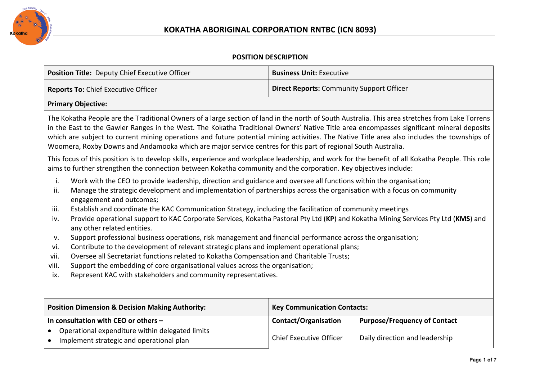

## **POSITION DESCRIPTION**

| Position Title: Deputy Chief Executive Officer                                                                                                                                                                                                                                                                                                                                                                                                                                                                                                                                                                                                                                                                                                                                                                                                                                                                                                                                                                                                                                         | <b>Business Unit: Executive</b>                                                                                                        |  |  |  |
|----------------------------------------------------------------------------------------------------------------------------------------------------------------------------------------------------------------------------------------------------------------------------------------------------------------------------------------------------------------------------------------------------------------------------------------------------------------------------------------------------------------------------------------------------------------------------------------------------------------------------------------------------------------------------------------------------------------------------------------------------------------------------------------------------------------------------------------------------------------------------------------------------------------------------------------------------------------------------------------------------------------------------------------------------------------------------------------|----------------------------------------------------------------------------------------------------------------------------------------|--|--|--|
| <b>Reports To: Chief Executive Officer</b>                                                                                                                                                                                                                                                                                                                                                                                                                                                                                                                                                                                                                                                                                                                                                                                                                                                                                                                                                                                                                                             | <b>Direct Reports: Community Support Officer</b>                                                                                       |  |  |  |
| <b>Primary Objective:</b>                                                                                                                                                                                                                                                                                                                                                                                                                                                                                                                                                                                                                                                                                                                                                                                                                                                                                                                                                                                                                                                              |                                                                                                                                        |  |  |  |
| The Kokatha People are the Traditional Owners of a large section of land in the north of South Australia. This area stretches from Lake Torrens<br>in the East to the Gawler Ranges in the West. The Kokatha Traditional Owners' Native Title area encompasses significant mineral deposits<br>which are subject to current mining operations and future potential mining activities. The Native Title area also includes the townships of<br>Woomera, Roxby Downs and Andamooka which are major service centres for this part of regional South Australia.                                                                                                                                                                                                                                                                                                                                                                                                                                                                                                                            |                                                                                                                                        |  |  |  |
| This focus of this position is to develop skills, experience and workplace leadership, and work for the benefit of all Kokatha People. This role<br>aims to further strengthen the connection between Kokatha community and the corporation. Key objectives include:                                                                                                                                                                                                                                                                                                                                                                                                                                                                                                                                                                                                                                                                                                                                                                                                                   |                                                                                                                                        |  |  |  |
| i.<br>Work with the CEO to provide leadership, direction and guidance and oversee all functions within the organisation;<br>Manage the strategic development and implementation of partnerships across the organisation with a focus on community<br>ii.<br>engagement and outcomes;<br>Establish and coordinate the KAC Communication Strategy, including the facilitation of community meetings<br>iii.<br>Provide operational support to KAC Corporate Services, Kokatha Pastoral Pty Ltd (KP) and Kokatha Mining Services Pty Ltd (KMS) and<br>iv.<br>any other related entities.<br>Support professional business operations, risk management and financial performance across the organisation;<br>v.<br>Contribute to the development of relevant strategic plans and implement operational plans;<br>vi.<br>Oversee all Secretariat functions related to Kokatha Compensation and Charitable Trusts;<br>vii.<br>Support the embedding of core organisational values across the organisation;<br>viii.<br>Represent KAC with stakeholders and community representatives.<br>ix. |                                                                                                                                        |  |  |  |
| <b>Position Dimension &amp; Decision Making Authority:</b>                                                                                                                                                                                                                                                                                                                                                                                                                                                                                                                                                                                                                                                                                                                                                                                                                                                                                                                                                                                                                             | <b>Key Communication Contacts:</b>                                                                                                     |  |  |  |
| In consultation with CEO or others -<br>Operational expenditure within delegated limits<br>Implement strategic and operational plan<br>$\bullet$                                                                                                                                                                                                                                                                                                                                                                                                                                                                                                                                                                                                                                                                                                                                                                                                                                                                                                                                       | <b>Contact/Organisation</b><br><b>Purpose/Frequency of Contact</b><br><b>Chief Executive Officer</b><br>Daily direction and leadership |  |  |  |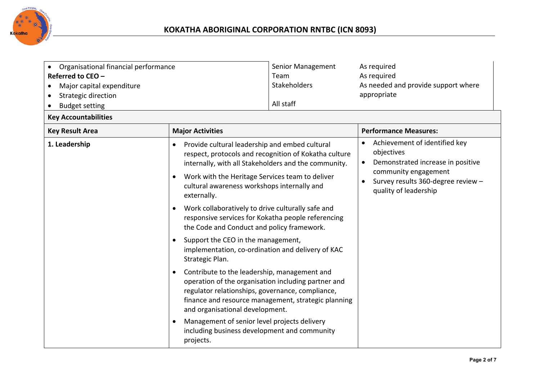

| Organisational financial performance<br>$\bullet$<br>Referred to CEO -<br>Major capital expenditure<br>٠<br><b>Strategic direction</b><br>$\bullet$<br><b>Budget setting</b><br>$\bullet$<br><b>Key Accountabilities</b> |                                                                                                                                                                                                                                                                                                                                                                                                                                                                                                                                                                                                                                                                                                                                                                                                                                                                                         | Senior Management<br>Team<br>Stakeholders<br>All staff                                                       | As required<br>As required<br>As needed and provide support where<br>appropriate                                                                                                                               |
|--------------------------------------------------------------------------------------------------------------------------------------------------------------------------------------------------------------------------|-----------------------------------------------------------------------------------------------------------------------------------------------------------------------------------------------------------------------------------------------------------------------------------------------------------------------------------------------------------------------------------------------------------------------------------------------------------------------------------------------------------------------------------------------------------------------------------------------------------------------------------------------------------------------------------------------------------------------------------------------------------------------------------------------------------------------------------------------------------------------------------------|--------------------------------------------------------------------------------------------------------------|----------------------------------------------------------------------------------------------------------------------------------------------------------------------------------------------------------------|
| <b>Key Result Area</b>                                                                                                                                                                                                   | <b>Major Activities</b>                                                                                                                                                                                                                                                                                                                                                                                                                                                                                                                                                                                                                                                                                                                                                                                                                                                                 |                                                                                                              | <b>Performance Measures:</b>                                                                                                                                                                                   |
| 1. Leadership                                                                                                                                                                                                            | Provide cultural leadership and embed cultural<br>$\bullet$<br>internally, with all Stakeholders and the community.<br>Work with the Heritage Services team to deliver<br>$\bullet$<br>cultural awareness workshops internally and<br>externally.<br>Work collaboratively to drive culturally safe and<br>$\bullet$<br>responsive services for Kokatha people referencing<br>the Code and Conduct and policy framework.<br>Support the CEO in the management,<br>$\bullet$<br>implementation, co-ordination and delivery of KAC<br>Strategic Plan.<br>Contribute to the leadership, management and<br>$\bullet$<br>operation of the organisation including partner and<br>regulator relationships, governance, compliance,<br>and organisational development.<br>Management of senior level projects delivery<br>$\bullet$<br>including business development and community<br>projects. | respect, protocols and recognition of Kokatha culture<br>finance and resource management, strategic planning | Achievement of identified key<br>$\bullet$<br>objectives<br>Demonstrated increase in positive<br>$\bullet$<br>community engagement<br>Survey results 360-degree review -<br>$\bullet$<br>quality of leadership |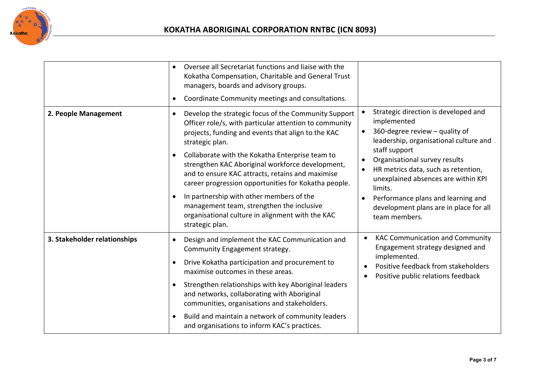

|                              | Oversee all Secretariat functions and liaise with the<br>$\bullet$<br>Kokatha Compensation, Charitable and General Trust<br>managers, boards and advisory groups.<br>Coordinate Community meetings and consultations.<br>$\bullet$                                                                                                                                                                                                                                                                                                                                                      |                                                                                                                                                                                                                                                                                                                                                                                          |
|------------------------------|-----------------------------------------------------------------------------------------------------------------------------------------------------------------------------------------------------------------------------------------------------------------------------------------------------------------------------------------------------------------------------------------------------------------------------------------------------------------------------------------------------------------------------------------------------------------------------------------|------------------------------------------------------------------------------------------------------------------------------------------------------------------------------------------------------------------------------------------------------------------------------------------------------------------------------------------------------------------------------------------|
| 2. People Management         | Develop the strategic focus of the Community Support<br>$\bullet$<br>Officer role/s, with particular attention to community<br>projects, funding and events that align to the KAC<br>strategic plan.<br>Collaborate with the Kokatha Enterprise team to<br>strengthen KAC Aboriginal workforce development,<br>and to ensure KAC attracts, retains and maximise<br>career progression opportunities for Kokatha people.<br>In partnership with other members of the<br>management team, strengthen the inclusive<br>organisational culture in alignment with the KAC<br>strategic plan. | Strategic direction is developed and<br>implemented<br>360-degree review - quality of<br>$\bullet$<br>leadership, organisational culture and<br>staff support<br>Organisational survey results<br>HR metrics data, such as retention,<br>unexplained absences are within KPI<br>limits.<br>Performance plans and learning and<br>development plans are in place for all<br>team members. |
| 3. Stakeholder relationships | Design and implement the KAC Communication and<br>Community Engagement strategy.<br>Drive Kokatha participation and procurement to<br>$\bullet$<br>maximise outcomes in these areas.<br>Strengthen relationships with key Aboriginal leaders<br>$\bullet$<br>and networks, collaborating with Aboriginal<br>communities, organisations and stakeholders.<br>Build and maintain a network of community leaders<br>$\bullet$<br>and organisations to inform KAC's practices.                                                                                                              | <b>KAC Communication and Community</b><br>$\bullet$<br>Engagement strategy designed and<br>implemented.<br>Positive feedback from stakeholders<br>Positive public relations feedback<br>$\bullet$                                                                                                                                                                                        |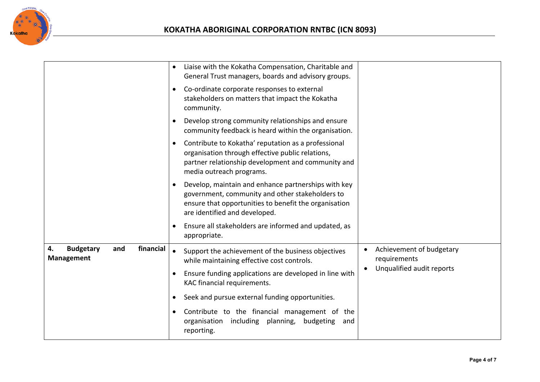

|                                                                 | $\bullet$ | Liaise with the Kokatha Compensation, Charitable and<br>General Trust managers, boards and advisory groups.                                                                                      |           |                                          |
|-----------------------------------------------------------------|-----------|--------------------------------------------------------------------------------------------------------------------------------------------------------------------------------------------------|-----------|------------------------------------------|
|                                                                 | $\bullet$ | Co-ordinate corporate responses to external<br>stakeholders on matters that impact the Kokatha<br>community.                                                                                     |           |                                          |
|                                                                 | $\bullet$ | Develop strong community relationships and ensure<br>community feedback is heard within the organisation.                                                                                        |           |                                          |
|                                                                 | $\bullet$ | Contribute to Kokatha' reputation as a professional<br>organisation through effective public relations,<br>partner relationship development and community and<br>media outreach programs.        |           |                                          |
|                                                                 | $\bullet$ | Develop, maintain and enhance partnerships with key<br>government, community and other stakeholders to<br>ensure that opportunities to benefit the organisation<br>are identified and developed. |           |                                          |
|                                                                 | $\bullet$ | Ensure all stakeholders are informed and updated, as<br>appropriate.                                                                                                                             |           |                                          |
| financial<br>4.<br><b>Budgetary</b><br>and<br><b>Management</b> | $\bullet$ | Support the achievement of the business objectives<br>while maintaining effective cost controls.                                                                                                 | $\bullet$ | Achievement of budgetary<br>requirements |
|                                                                 | $\bullet$ | Ensure funding applications are developed in line with<br>KAC financial requirements.                                                                                                            |           | Unqualified audit reports                |
|                                                                 | $\bullet$ | Seek and pursue external funding opportunities.                                                                                                                                                  |           |                                          |
|                                                                 | $\bullet$ | Contribute to the financial management of the<br>organisation<br>including planning,<br>budgeting<br>and<br>reporting.                                                                           |           |                                          |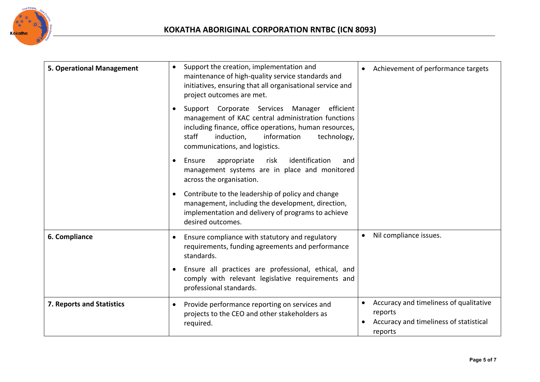

| <b>5. Operational Management</b> | Support the creation, implementation and<br>$\bullet$<br>maintenance of high-quality service standards and<br>initiatives, ensuring that all organisational service and<br>project outcomes are met.                                                                | Achievement of performance targets<br>$\bullet$                                                                     |
|----------------------------------|---------------------------------------------------------------------------------------------------------------------------------------------------------------------------------------------------------------------------------------------------------------------|---------------------------------------------------------------------------------------------------------------------|
|                                  | Support Corporate Services Manager<br>efficient<br>$\bullet$<br>management of KAC central administration functions<br>including finance, office operations, human resources,<br>staff<br>induction,<br>information<br>technology,<br>communications, and logistics. |                                                                                                                     |
|                                  | identification<br>appropriate<br>risk<br>Ensure<br>and<br>$\bullet$<br>management systems are in place and monitored<br>across the organisation.                                                                                                                    |                                                                                                                     |
|                                  | Contribute to the leadership of policy and change<br>$\bullet$<br>management, including the development, direction,<br>implementation and delivery of programs to achieve<br>desired outcomes.                                                                      |                                                                                                                     |
| 6. Compliance                    | Ensure compliance with statutory and regulatory<br>$\bullet$<br>requirements, funding agreements and performance<br>standards.                                                                                                                                      | Nil compliance issues.                                                                                              |
|                                  | Ensure all practices are professional, ethical, and<br>$\bullet$<br>comply with relevant legislative requirements and<br>professional standards.                                                                                                                    |                                                                                                                     |
| 7. Reports and Statistics        | Provide performance reporting on services and<br>$\bullet$<br>projects to the CEO and other stakeholders as<br>required.                                                                                                                                            | Accuracy and timeliness of qualitative<br>$\bullet$<br>reports<br>Accuracy and timeliness of statistical<br>reports |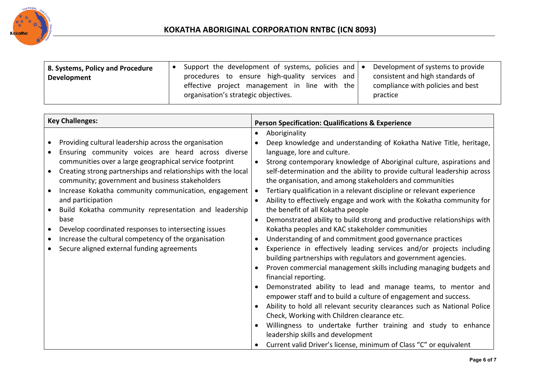

| 8. Systems, Policy and Procedure<br>Development | Support the development of systems, policies and $\bullet$<br>procedures to ensure high-quality services and<br>effective project management in line with the<br>organisation's strategic objectives. | Development of systems to provide<br>consistent and high standards of<br>compliance with policies and best<br>practice |
|-------------------------------------------------|-------------------------------------------------------------------------------------------------------------------------------------------------------------------------------------------------------|------------------------------------------------------------------------------------------------------------------------|
|                                                 |                                                                                                                                                                                                       |                                                                                                                        |

| <b>Key Challenges:</b>                                                                                                                                                                                                                                                                                                                                                                                                                                                                                                                                                                                              | <b>Person Specification: Qualifications &amp; Experience</b>                                                                                                                                                                                                                                                                                                                                                                                                                                                                                                                                                                                                                                                                                                                                                                                                                                                                                                                                                                                                                                                                                                                                                                                                                                                                                                                                                  |
|---------------------------------------------------------------------------------------------------------------------------------------------------------------------------------------------------------------------------------------------------------------------------------------------------------------------------------------------------------------------------------------------------------------------------------------------------------------------------------------------------------------------------------------------------------------------------------------------------------------------|---------------------------------------------------------------------------------------------------------------------------------------------------------------------------------------------------------------------------------------------------------------------------------------------------------------------------------------------------------------------------------------------------------------------------------------------------------------------------------------------------------------------------------------------------------------------------------------------------------------------------------------------------------------------------------------------------------------------------------------------------------------------------------------------------------------------------------------------------------------------------------------------------------------------------------------------------------------------------------------------------------------------------------------------------------------------------------------------------------------------------------------------------------------------------------------------------------------------------------------------------------------------------------------------------------------------------------------------------------------------------------------------------------------|
| Providing cultural leadership across the organisation<br>Ensuring community voices are heard across diverse<br>communities over a large geographical service footprint<br>Creating strong partnerships and relationships with the local<br>community; government and business stakeholders<br>Increase Kokatha community communication, engagement<br>and participation<br>Build Kokatha community representation and leadership<br>base<br>Develop coordinated responses to intersecting issues<br>$\bullet$<br>Increase the cultural competency of the organisation<br>Secure aligned external funding agreements | Aboriginality<br>٠<br>Deep knowledge and understanding of Kokatha Native Title, heritage,<br>language, lore and culture.<br>Strong contemporary knowledge of Aboriginal culture, aspirations and<br>self-determination and the ability to provide cultural leadership across<br>the organisation, and among stakeholders and communities<br>Tertiary qualification in a relevant discipline or relevant experience<br>Ability to effectively engage and work with the Kokatha community for<br>the benefit of all Kokatha people<br>Demonstrated ability to build strong and productive relationships with<br>Kokatha peoples and KAC stakeholder communities<br>Understanding of and commitment good governance practices<br>Experience in effectively leading services and/or projects including<br>building partnerships with regulators and government agencies.<br>Proven commercial management skills including managing budgets and<br>financial reporting.<br>Demonstrated ability to lead and manage teams, to mentor and<br>empower staff and to build a culture of engagement and success.<br>Ability to hold all relevant security clearances such as National Police<br>Check, Working with Children clearance etc.<br>Willingness to undertake further training and study to enhance<br>leadership skills and development<br>Current valid Driver's license, minimum of Class "C" or equivalent |